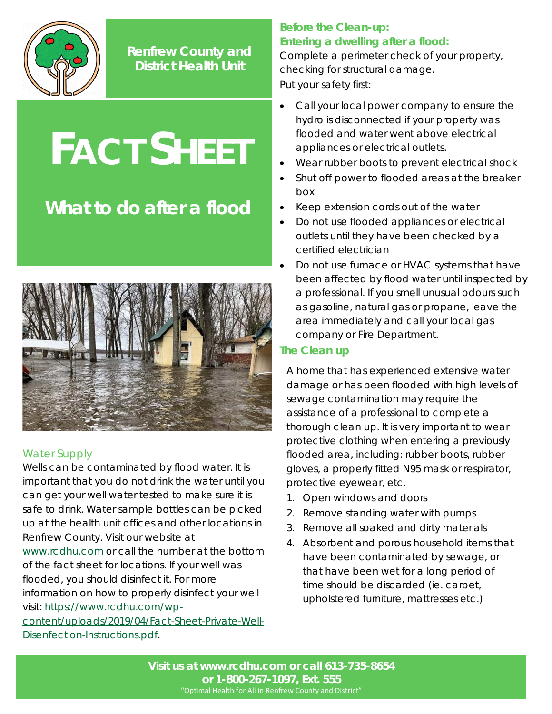

**Renfrew County and District Health Unit**

# **FACT SHEET**

## **What to do after a flood**



### Water Supply

Wells can be contaminated by flood water. It is important that you do not drink the water until you can get your well water tested to make sure it is safe to drink. Water sample bottles can be picked up at the health unit offices and other locations in Renfrew County. Visit our website at [www.rcdhu.com](http://www.rcdhu.com/) or call the number at the bottom of the fact sheet for locations. If your well was flooded, you should disinfect it. For more information on how to properly disinfect your well visit: [https://www.rcdhu.com/wp](https://www.rcdhu.com/wp-content/uploads/2019/04/Fact-Sheet-Private-Well-Disenfection-Instructions.pdf)[content/uploads/2019/04/Fact-Sheet-Private-Well-](https://www.rcdhu.com/wp-content/uploads/2019/04/Fact-Sheet-Private-Well-Disenfection-Instructions.pdf)

[Disenfection-Instructions.pdf.](https://www.rcdhu.com/wp-content/uploads/2019/04/Fact-Sheet-Private-Well-Disenfection-Instructions.pdf)

### **Before the Clean-up: Entering a dwelling after a flood:**

Complete a perimeter check of your property, checking for structural damage. Put your safety first:

- Call your local power company to ensure the hydro is disconnected if your property was flooded and water went above electrical appliances or electrical outlets.
- Wear rubber boots to prevent electrical shock
- Shut off power to flooded areas at the breaker box
- Keep extension cords out of the water
- Do not use flooded appliances or electrical outlets until they have been checked by a certified electrician
- Do not use furnace or HVAC systems that have been affected by flood water until inspected by a professional. If you smell unusual odours such as gasoline, natural gas or propane, leave the area immediately and call your local gas company or Fire Department.

#### **The Clean up**

A home that has experienced extensive water damage or has been flooded with high levels of sewage contamination may require the assistance of a professional to complete a thorough clean up. It is very important to wear protective clothing when entering a previously flooded area, including: rubber boots, rubber gloves, a properly fitted N95 mask or respirator, protective eyewear, etc.

- 1. Open windows and doors
- 2. Remove standing water with pumps
- 3. Remove all soaked and dirty materials
- 4. Absorbent and porous household items that have been contaminated by sewage, or that have been wet for a long period of time should be discarded (ie. carpet, upholstered furniture, mattresses etc.)

**Visit us at www.rcdhu.com or call 613-735-8654 or 1-800-267-1097, Ext. 555** "Optimal Health for All in Renfrew County and District"